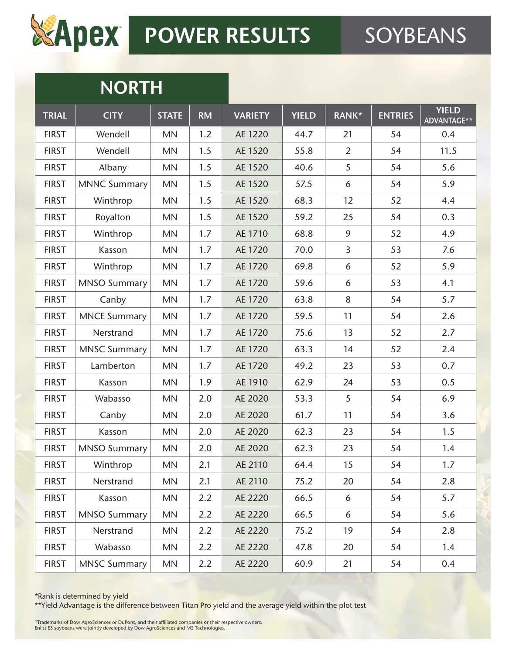

## **NORTH**

| <b>TRIAL</b> | <b>CITY</b>         | <b>STATE</b> | <b>RM</b> | <b>VARIETY</b> | <b>YIELD</b> | RANK*          | <b>ENTRIES</b> | <b>YIELD</b><br>ADVANTAGE** |
|--------------|---------------------|--------------|-----------|----------------|--------------|----------------|----------------|-----------------------------|
| <b>FIRST</b> | Wendell             | <b>MN</b>    | 1.2       | AE 1220        | 44.7         | 21             | 54             | 0.4                         |
| <b>FIRST</b> | Wendell             | <b>MN</b>    | 1.5       | AE 1520        | 55.8         | $\overline{2}$ | 54             | 11.5                        |
| <b>FIRST</b> | Albany              | <b>MN</b>    | 1.5       | AE 1520        | 40.6         | 5              | 54             | 5.6                         |
| <b>FIRST</b> | <b>MNNC Summary</b> | <b>MN</b>    | 1.5       | AE 1520        | 57.5         | 6              | 54             | 5.9                         |
| <b>FIRST</b> | Winthrop            | <b>MN</b>    | 1.5       | AE 1520        | 68.3         | 12             | 52             | 4.4                         |
| <b>FIRST</b> | Royalton            | <b>MN</b>    | 1.5       | AE 1520        | 59.2         | 25             | 54             | 0.3                         |
| <b>FIRST</b> | Winthrop            | <b>MN</b>    | 1.7       | AE 1710        | 68.8         | 9              | 52             | 4.9                         |
| <b>FIRST</b> | Kasson              | <b>MN</b>    | 1.7       | AE 1720        | 70.0         | $\overline{3}$ | 53             | 7.6                         |
| <b>FIRST</b> | Winthrop            | <b>MN</b>    | 1.7       | AE 1720        | 69.8         | 6              | 52             | 5.9                         |
| <b>FIRST</b> | <b>MNSO Summary</b> | <b>MN</b>    | 1.7       | AE 1720        | 59.6         | 6              | 53             | 4.1                         |
| <b>FIRST</b> | Canby               | <b>MN</b>    | 1.7       | AE 1720        | 63.8         | 8              | 54             | 5.7                         |
| <b>FIRST</b> | <b>MNCE Summary</b> | <b>MN</b>    | 1.7       | AE 1720        | 59.5         | 11             | 54             | 2.6                         |
| <b>FIRST</b> | Nerstrand           | <b>MN</b>    | 1.7       | AE 1720        | 75.6         | 13             | 52             | 2.7                         |
| <b>FIRST</b> | <b>MNSC Summary</b> | <b>MN</b>    | 1.7       | AE 1720        | 63.3         | 14             | 52             | 2.4                         |
| <b>FIRST</b> | Lamberton           | <b>MN</b>    | 1.7       | AE 1720        | 49.2         | 23             | 53             | 0.7                         |
| <b>FIRST</b> | Kasson              | <b>MN</b>    | 1.9       | AE 1910        | 62.9         | 24             | 53             | 0.5                         |
| <b>FIRST</b> | Wabasso             | <b>MN</b>    | 2.0       | AE 2020        | 53.3         | 5              | 54             | 6.9                         |
| <b>FIRST</b> | Canby               | <b>MN</b>    | 2.0       | AE 2020        | 61.7         | 11             | 54             | 3.6                         |
| <b>FIRST</b> | Kasson              | <b>MN</b>    | 2.0       | AE 2020        | 62.3         | 23             | 54             | 1.5                         |
| <b>FIRST</b> | MNSO Summary        | <b>MN</b>    | 2.0       | AE 2020        | 62.3         | 23             | 54             | 1.4                         |
| <b>FIRST</b> | Winthrop            | MN           | 2.1       | AE 2110        | 64.4         | 15             | 54             | 1.7                         |
| <b>FIRST</b> | Nerstrand           | <b>MN</b>    | 2.1       | AE 2110        | 75.2         | 20             | 54             | 2.8                         |
| <b>FIRST</b> | Kasson              | <b>MN</b>    | 2.2       | AE 2220        | 66.5         | 6              | 54             | 5.7                         |
| <b>FIRST</b> | <b>MNSO Summary</b> | <b>MN</b>    | 2.2       | AE 2220        | 66.5         | 6              | 54             | 5.6                         |
| <b>FIRST</b> | Nerstrand           | <b>MN</b>    | 2.2       | AE 2220        | 75.2         | 19             | 54             | 2.8                         |
| <b>FIRST</b> | Wabasso             | MN           | 2.2       | AE 2220        | 47.8         | 20             | 54             | 1.4                         |
| <b>FIRST</b> | <b>MNSC Summary</b> | MN           | 2.2       | AE 2220        | 60.9         | 21             | 54             | 0.4                         |

\*Rank is determined by yield

\*\*Yield Advantage is the difference between Titan Pro yield and the average yield within the plot test

™Trademarks of Dow AgroSciences or DuPont, and their affiliated companies or their respective owners. Enlist E3 soybeans were jointly developed by Dow AgroSciences and MS Technologies.